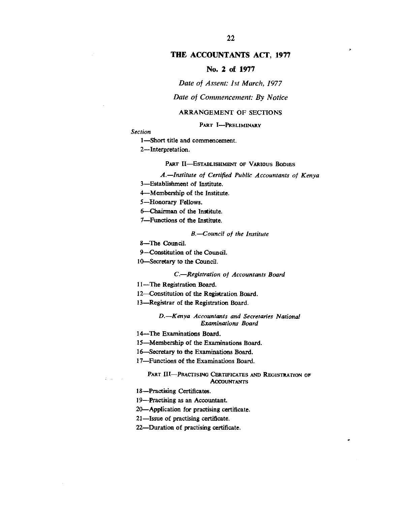# **THE ACCOUNTANTS ACT, 1977**

# **No. 2 of 1977**

### *Date of Assent: 1st March, 1977*

## *Date of Commencement: By Notice*

### ARRANGEMENT OF SECTIONS

### PART I-PRELIMINARY

*Section* 

1—Short title and commencement.

2—Interpretation.

#### **PART II-ESTABLISHMENT OF VARIOUS BODIES**

# *A. Institute of Certified Public Accountants of Kenya*

3—Establishment of Institute.

4—Membership of the Institute.

5—Honorary Fellows.

6—Chairman of the Institute.

7—Functions of the Institute.

### *B.—Council of the Institute*

8—The Council.

9—Constitution of the Council.

10—Secretary to the Council.

## *C.—Registration of Accountants Board*

*1I—The* Registration Board.

12—Constitution of the Registration Board.

13—Registrar of the Registration Board.

#### *D.—Kenya Accountants and Secretaries National Examinations Board*

I4—The Examinations Board.

15—Membership of the Examinations Board.

16—Secretary to the Examinations Board.

17—Functions of the Examinations Board.

#### **PART III-PRACTISING CERTIFICATES AND REGISTRATION OF ACCOUNTANTS**

18—Practising Certificates.

 $\hat{I}$  ,  $\hat{I}$ 

19—Practising as an Accountant.

20—Application for practising certificate.

21—Issue of practising certificate.

22—Duration of practising certificate.

ł.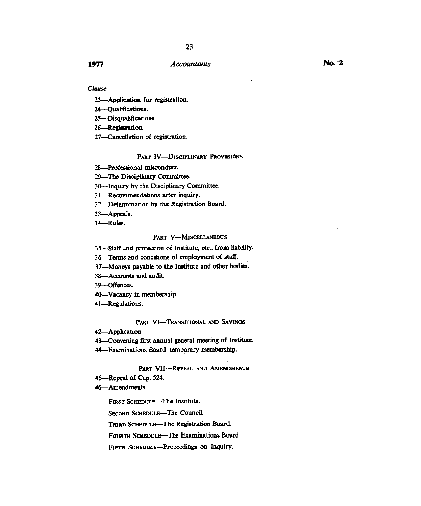## *Clause*

23—Application for registration.

24—Qualifications.

25—Disqualifications.

26—Registration.

27—Cancellation of registration.

### **PART IV—DISCIPLINARY PROVISIONS**

28—Professional misconduct.

29—The Disciplinary Committee.

30—Inquiry by the Disciplinary Committee.

31—Recommendations after inquiry.

32—Determination by the Registration Board.

33—Appeals.

34—Rules.

### **PART V—MISCELLANEOUS**

35—Staff and protection of Institute, etc., from liability.

36—Terms and conditions of employment of staff.

37—Moneys payable to the Institute and other bodies.

38—Accounts and audit.

39—Offences.

40—Vacancy in membership.

41—Regulations.

#### **PART VI—TRANSITIONAL AND SAVINGS**

42—Application.

43—Convening first annual general meeting of Institute.

44—Examinations Board, temporary membership.

#### PART VII-REPEAL AND AMENDMENTS

45—Repeal of Cap. 524.

46-Amendments.

**FIRST SCHEDULE—The** Institute.

SECOND SCHEDULE-The Council.

**THIRD** SCHEDULE—The Registration Board.

**FOURTH SCHEDULE—The** Examinations Board.

FIFTH SCHEDULE-Proceedings on Inquiry.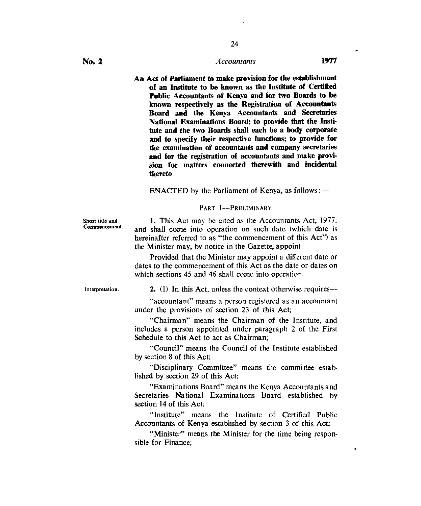**An Act of Parliament to make provision for the establishment of an Institute to be known as the Institute of Certified Public Accountants of Kenya and for two Boards to be known respectively as the Registration of Accountants Board and the Kenya Accountants and Secretaries National Examinations Board; to provide that the Institute and the two Boards shall each be a body corporate and to specify their respective functions; to provide for the examination of accountants and company secretaries and for the registration of accountants and make provision for matters connected therewith and incidental thereto** 

ENACTED by the Parliament of Kenya, as follows :  $-$ 

### PART 1—PRELIMINARY

Short title and Commencement.

1. This Act may be cited as the Accountants Act, 1977, and shall come into operation on such date (which date is hereinafter referred to as "the commencement of this Act") as the Minister may, by notice in the Gazette, appoint :

Provided that the Minister may appoint a different date or dates to the commencement of this Act as the date or dates on which sections 45 and 46 shall come into operation.

Interpretation.

2. (1) In this Act, unless the context otherwise requires—

"accountant" means a person registered as an accountant under the provisions of section 23 of this Act;

"Chairman" means the Chairman of the Institute, and includes a person appointed under paragraph 2 of the First Schedule to this Act to act as Chairman;

"Council" means the Council of the Institute established by section 8 of this Act;

"Disciplinary Committee" means the committee established by section 29 of this Act;

"Examinations Board" means the Kenya Accountants and Secretaries National Examinations Board established by section 14 of this Act;

"Institute" means the Institute of Certified Public Accountants of Kenya established by section 3 of this Act;

"Minister" means the Minister for the time being responsible for Finance;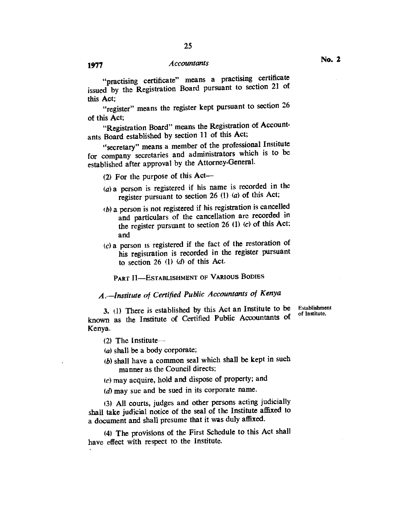"practising certificate" means a practising certificate issued by the Registration Board pursuant to section 21 of this Act;

"register" means the register kept pursuant to section 26 of this Act;

"Registration Board" means the Registration of Accountants Board established by section 11 of this Act;

"secretary" means a member of the professional Institute for company secretaries and administrators which is to be established after approval by the Attorney-General.

(2) For the purpose of this Act—

- (a) a person is registered if his name is recorded in the register pursuant to section 26 (I) (a) of this Act;
- *lb)* a person is not registered if his registration is cancelled and particulars of the cancellation are recorded in the register pursuant to section 26 (1) (c) of this Act; and
- $(c)$  a person is registered if the fact of the restoration of his registration is recorded in the register pursuant to section 26 (1) *(d)* of this Act.

PART II—ESTABLISHMENT OF VARIOUS BODIES

# *A.—Institute of Certified Public Accountants of Kenya*

*3.* (1) There is established by this Act an Institute to be known as the Institute of Certified Public Accountants of Kenya.

(2) The Institute—

- $(a)$  shall be a body corporate;
- (b) shall have a common seal which shall be kept in such manner as the Council directs;
- $(c)$  may acquire, hold and dispose of property; and
- $(d)$  may sue and be sued in its corporate name.

(3) All courts, judges and other persons acting judicially shall take judicial notice of the seal of the Institute affixed to a document and shall presume that it was duly affixed.

(4) The provisions of the First Schedule to this Act shall have effect with respect to the Institute.

Establishment of Institute.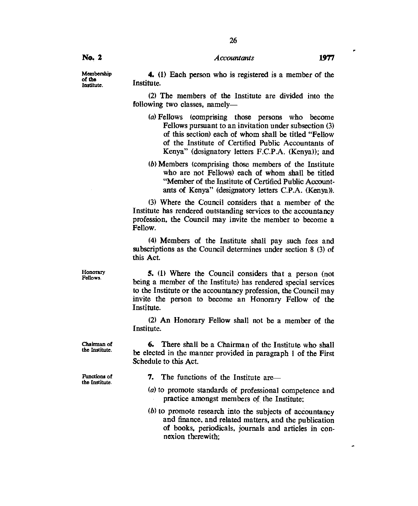# *Accountants* **1977**

Membership of the Institute.

**No. 2** 

4. (1) Each person who is registered is a member of the Institute.

(2) The members of the Institute are divided into the following two classes, namely—

- (a)Fellows (comprising those persons who become Fellows pursuant to an invitation under subsection (3) of this section) each of whom shall be titled "Fellow of the Institute of Certified Public Accountants of Kenya" (designatory letters F.C.P.A. (Kenya)); and
- (b)Members (comprising those members of the Institute who are not Fellows) each of whom shall be titled "Member of the Institute of Certified Public Accountants of Kenya" (designatory letters C.P.A. (Kenya)).

(3) Where the Council considers that a member of the Institute has rendered outstanding services to the accountancy profession, the Council may invite the member to become a Fellow.

(4) Members of the Institute shall pay such fees and subscriptions as the Council determines under section 8 (3) of this Act.

**5.** (1) Where the Council considers that a person (not being a member of the Institute) has rendered special services to the Institute or the accountancy profession, the Council may invite the person to become an Honorary Fellow of the Institute.

(2) An Honorary Fellow shall not be a member of the Institute.

**6.** There shall be a Chairman of the Institute who shall be elected in the manner provided in paragraph **I** of the First Schedule to this Act.

Functions of the Institute.

Chairman of the Institute.

- **7.** The functions of the Institute are—
- (a) to promote standards of professional competence and practice amongst members of the Institute;
- $(b)$  to promote research into the subjects of accountancy and finance, and related matters, and the publication of books, periodicals, journals and articles in connexion therewith;

Honorary

Fellows.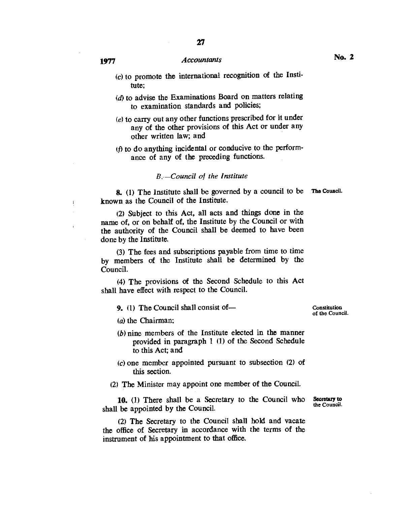- $(c)$  to promote the international recognition of the Institute;
- $(d)$  to advise the Examinations Board on matters relating to examination standards and policies;
- $(e)$  to carry out any other functions prescribed for it under any of the other provisions of this Act or under any other written law; and
- ( $f$ ) to do anything incidental or conducive to the performance of any of the preceding functions.

## *B: — Council of the Institute*

**8.** (1) The Institute shall be governed by a council to be **The** Council. known as the Council of the Institute.

(2) Subject to this Act, all acts and things done in the name of, or on behalf of, the Institute by the Council or with the authority of the Council shall be deemed to have been done by the Institute.

(3)The fees and subscriptions payable from time to time by members of the Institute shall be determined by the Council.

(4)The provisions of the Second Schedule to this Act shall have effect with respect to the Council.

**9.** (1) The Council shall consist of—

Constitution of the Council.

 $(a)$  the Chairman:

- $(b)$  nine members of the Institute elected in the manner provided in paragraph 1 (1) of the Second Schedule to this Act; and
- $(c)$  one member appointed pursuant to subsection  $(2)$  of this section.

(2) The Minister may appoint one member of the Council.

**10.** (1) There shall be a Secretary to the Council who shall be appointed by the Council.

(2) The Secretary to the Council shall hold and vacate the office of Secretary in accordance with the terms of the instrument of his appointment to that office.

**Secretary to**  the Council.

 $\mathfrak i$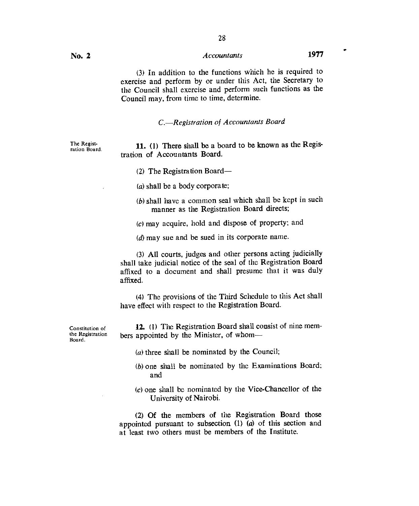# (3) In addition to the functions which he is required to exercise and perform by or under this Act, the Secretary to the Council shall exercise and perform such functions as the Council may. from time to time, determine.

*C.—Registration of Accountants Board* 

The Registration Board.

11. (1) There shall be a board to be known as the Registration of Accountants Board.

(2) The Registration Board—

 $(a)$  shall be a body corporate;

 $(b)$  shall have a common seal which shall be kept in such manner as the Registration Board directs;

(c)may acquire, hold and dispose of property; and

 $(d)$  may sue and be sued in its corporate name.

(3) All courts, judges and other persons acting judicially shall take judicial notice of the seal of the Registration Board affixed to a document and shall presume that it was duly affixed.

(4) The provisions of the Third Schedule to this Act shall have effect with respect to the Registration Board.

12. (1) The Registration Board shall consist of nine members appointed by the Minister, of whom—

Constitution of the Registration Board.

- $(a)$  three shall be nominated by the Council;
- (b)one shall be nominated by the Examinations Board; and
- (c) one shall be nominated by the Vice-Chancellor of the University of Nairobi.

(2) Of the members of the Registration Board those appointed pursuant to subsection (1) (a) of this section and at least two others must be members of the Institute.

 $\bullet$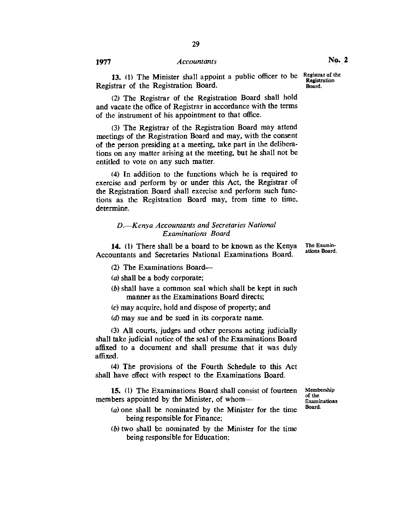**13.** (1) The Minister shall appoint a public officer to be Registrar of the Registration Board.

(2) The Registrar of the Registration Board shall hold and vacate the office of Registrar in accordance with the terms of the instrument of his appointment to that office.

(3) The Registrar of the Registration Board may attend meetings of the Registration Board and may, with the consent of the person presiding at a meeting, take part in the deliberations on any matter arising at the meeting, but he shall not be entitled to vote on any such matter.

(4) In addition to the functions which he is required to exercise and perform by or under this Act, the Registrar of the Registration Board shall exercise and perform such functions as the Registration Board may, from time to time, determine.

# *D. Kenya Accountants and Secretaries National Examinations Board*

**14. (1)** There shall be a board to be known as the Kenya Accountants and Secretaries National Examinations Board.

- (2) The Examinations Board—
- $(a)$  shall be a body corporate;
- (b) shall have a common seal which shall be kept in such manner as the Examinations Board directs;
- (c)may acquire, hold and dispose of property; and
- (d) may sue and be sued in its corporate name.

(3) All courts, judges and other persons acting judicially shall take judicial notice of the seal of the Examinations Board affixed to a document and shall presume that it was duly affixed.

(4) The provisions of the Fourth Schedule to this Act shall have effect with respect to the Examinations Board.

**15.** (1) The Examinations Board shall consist of fourteen members appointed by the Minister, of whom—

- *(a)one* shall be nominated by the Minister for the time being responsible for Finance;
- $(b)$  two shall be nominated by the Minister for the time being responsible for Education;

Membership of the **Examinations** Board.

The Examinations Board.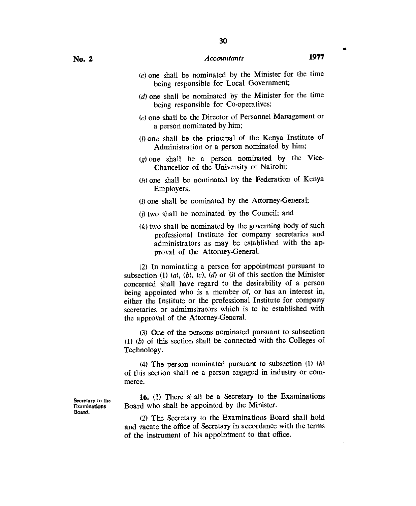- (c)one shall be nominated by the Minister for the time being responsible for Local Government;
- $(d)$  one shall be nominated by the Minister for the time being responsible for Co-operatives;
- $(e)$  one shall be the Director of Personnel Management or a person nominated by him;
- (f)one shall be the principal of the Kenya Institute of Administration or a person nominated by him;
- $(g)$  one shall be a person nominated by the Vice-Chancellor of the University of Nairobi;
- (h)one shall be nominated by the Federation of Kenya Employers;
- $(i)$  one shall be nominated by the Attorney-General;
- $(j)$  two shall be nominated by the Council; and
- $(k)$  two shall be nominated by the governing body of such professional Institute for company secretaries and administrators as may be established with the approval of the Attorney-General.

(2)In nominating a person for appointment pursuant to subsection (1)  $(a)$ ,  $(b)$ ,  $(c)$ ,  $(d)$  or  $(i)$  of this section the Minister concerned shall have regard to the desirability of a person being appointed who is a member of, or has an interest in, either the Institute or the professional Institute for company secretaries or administrators which is to be established with the approval of the Attorney-General.

(3) One of the persons nominated pursuant to subsection (1) *(b)* of this section shall be connected with the Colleges of Technology.

(4) The person nominated pursuant to subsection (1) (h) of this section shall be a person engaged in industry or commerce.

Secretary to the 16. (1) There shall be a Secretary to the Examinations<br>Examinations Board who shall be appointed by the Minister. Examinations Board who shall be appointed by the Minister.<br>Board.

(2) The Secretary to the Examinations Board shall hold and vacate the office of Secretary in accordance with the terms of the instrument of his appointment to that office.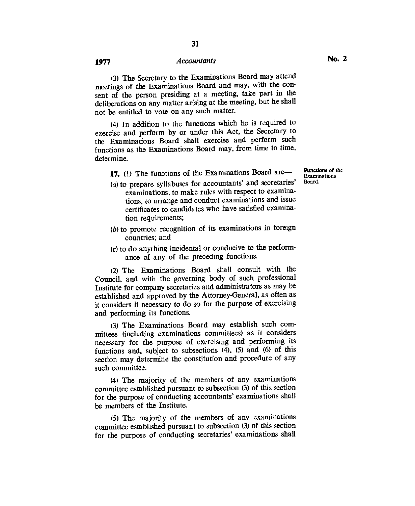31

(3)The Secretary to the Examinations Board may attend meetings of the Examinations Board and may, with the consent of the person presiding at a meeting, take part in the deliberations on any matter arising at the meeting, but he shall not be entitled to vote on any such matter.

(4)In addition to the functions which he is required to exercise and perform by or under this Act, the Secretary to the Examinations Board shall exercise and perform such functions as the Examinations Board may, from time to time, determine.

17. (1) The functions of the Examinations Board are—

- $(a)$  to prepare syllabuses for accountants' and secretaries' examinations, to make rules with respect to examinations, to arrange and conduct examinations and issue certificates to candidates who have satisfied examination requirements;
- $(b)$  to promote recognition of its examinations in foreign countries; and
- $(c)$  to do anything incidental or conducive to the performance of any of the preceding functions.

(2)The Examinations Board shall consult with the Council, and with the governing body of such professional Institute for company secretaries and administrators as may be established and approved by the Attorney-General, as often as it considers it necessary to do so for the purpose of exercising and performing its functions.

(3)The Examinations Board may establish such committees (including examinations committees) as it considers necessary for the purpose of exercising and performing its functions and, subject to subsections (4), (5) and (6) of this section may determine the constitution and procedure of any such committee.

(4)The majority of the members of any examinations committee established pursuant to subsection (3) of this section for the purpose of conducting accountants' examinations shall be members of the Institute.

(5)The majority of the members of any examinations committee established pursuant to subsection (3) of this section for the purpose of conducting secretaries' examinations shall

Functions of the Examinations Board.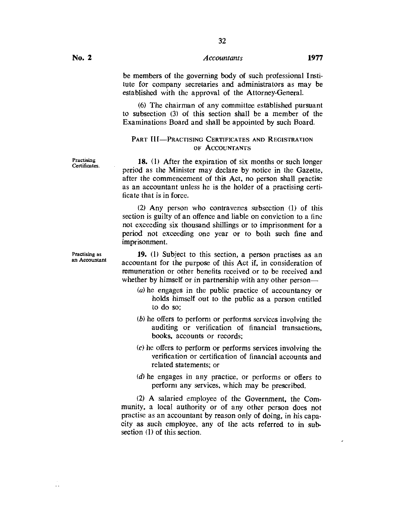32

be members of the governing body of such professional Institute for company secretaries and administrators as may be established with the approval of the Attorney-General.

(6) The chairman of any committee established pursuant to subsection (3) of this section shall be a member of the Examinations Board and shall be appointed by such Board.

# PART **III—PRACTISING** CERTIFICATES AND REGISTRATION OF ACCOUNTANTS

18. (1) After the expiration of six months or such longer period as the Minister may declare by notice in the Gazette, after the commencement of this Act, no person shall practise as an accountant unless he is the holder of a practising certificate that is in force.

(2) Any person who contravenes subsection (1) of this section is guilty of an offence and liable on conviction to a fine not exceeding six thousand shillings or to imprisonment for a period not exceeding one year or to both such fine and imprisonment.

19. (1) Subject to this section, a person practises as an accountant for the purpose of this Act if, in consideration of remuneration or other benefits received or to be received and whether by himself or in partnership with any other person—

- (a) he engages in the public practice of accountancy or holds himself out to the public as a person entitled to do so;
- (b) he offers to perform or performs services involving the auditing or verification of financial transactions, books, accounts or records;
- $(c)$  he offers to perform or performs services involving the verification or certification of financial accounts and related statements; or
- (d) he engages in any practice, or performs or offers to perform any services, which may be prescribed.

(2) A salaried employee of the Government, the Community, a local authority or of any other person does not practise as an accountant by reason only of doing, in his capacity as such employee, any of the acts referred to in subsection (1) of this section.

Practising Certificates.

Practising as an Accountant

 $\ddot{\phantom{0}}$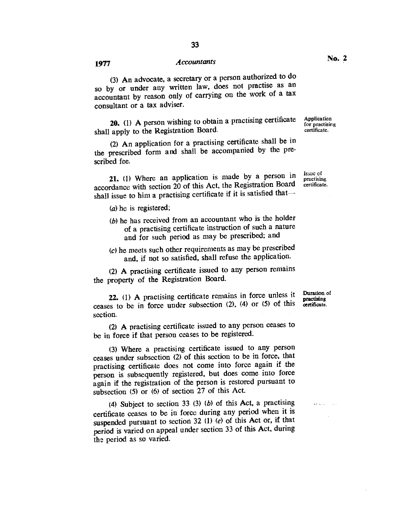(3) An advocate, a secretary or a person authorized to do so by or under any written law, does not practise as an accountant by reason only of carrying on the work of a tax consultant or a tax adviser.

**20.** (1) A person wishing to obtain a practising certificate shall apply to the Registration Board.

(2) An application for a practising certificate shall be in the prescribed form and shall be accompanied by the prescribed fee.

**21.** (1) Where an application is made by a person in accordance with section 20 of this Act, the Registration Board shall issue to him a practising certificate if it is satisfied that—

(a) he is registered;

- $(b)$  he has received from an accountant who is the holder of a practising certificate instruction of such a nature and for such period as may be prescribed; and
- (c)he meets such other requirements as may be prescribed and, if not so satisfied, shall refuse the application.

(2) **A** practising certificate issued to any person remains the property of the Registration Board.

**22.** (1) A practising certificate remains in force unless it ceases to be in force under subsection (2), (4) or (5) of this section.

**(2) A** practising certificate issued to any person ceases to be in force if that person ceases to be registered.

(3) Where a practising certificate issued to any person ceases under subsection (2) of this section to be in force, that practising certificate does not come into force again if the person is subsequently registered, but does come into force again if the registration of the person is restored pursuant to subsection (5) or (6) of section 27 of this Act.

(4) Subject to section 33 (3) *(b)* of this Act, a practising certificate ceases to be in force during any period when **it** is suspended pursuant to section 32 (1) *(e)* of this Act or, if that period is varied on appeal under section 33 of this Act, during the period as so varied.

Duration of practising certificate.

وبالمناصر وعاوي

Issue of practising certificate.

Application for practising certificate.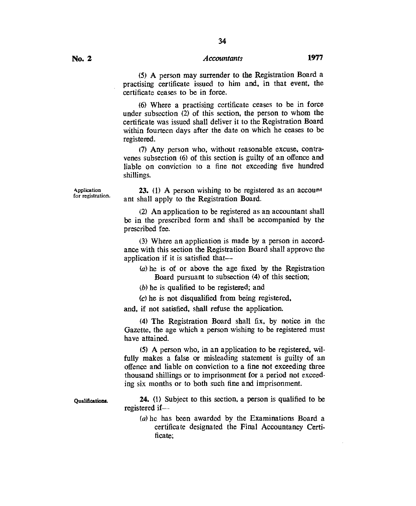34

(5) A person may surrender to the Registration Board a practising certificate issued to him and, in that event, the certificate ceases to be in force.

(6) Where a practising certificate ceases to be in force under subsection (2) of this section, the person to whom the certificate was issued shall deliver it to the Registration Board within fourteen days after the date on which he ceases to be registered.

(7)Any person who, without reasonable excuse, contravenes subsection (6) of this section is guilty of an offence and liable on conviction to a fine not exceeding five hundred shillings.

Application for registration.

Qualifications.

23. (1) A person wishing to be registered as an account ant shall apply to the Registration Board.

(2) An application to be registered as an accountant shall be in the prescribed form and shall be accompanied by the prescribed fee.

(3) Where an application is made by a person in accordance with this section the Registration Board shall approve the application if it is satisfied that—

 $(a)$  he is of or above the age fixed by the Registration Board pursuant to subsection (4) of this section;

 $(b)$  he is qualified to be registered; and

(c)he is not disqualified from being registered,

and, if not satisfied, shall refuse the application.

(4) The Registration Board shall fix, by notice in the Gazette, the age which a person wishing to be registered must have attained.

(5) A person who, in an application to be registered, wilfully makes a false or misleading statement is guilty of an offence and liable on conviction to a fine not exceeding three thousand shillings or to imprisonment for a period not exceeding six months or to both such fine and imprisonment.

24. (1) Subject to this section, a person is qualified to be registered if—

*(a)* he has been awarded by the Examinations Board a certificate designated the Final Accountancy Certificate;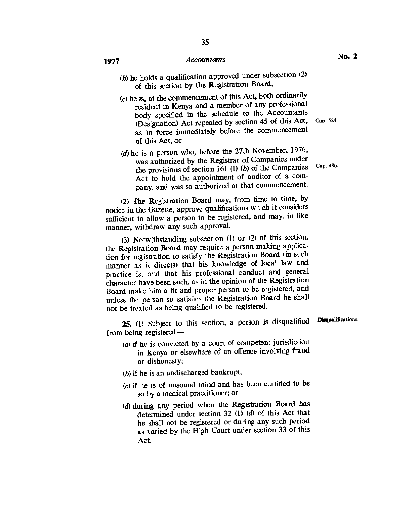- (b) he holds a qualification approved under subsection  $(2)$ of this section by the Registration Board;
- (c)he is, at the commencement of this Act, both ordinarily resident in Kenya and a member of any professional body specified in the schedule to the Accountants (Designation) Act repealed by section 45 of this Act, Cap. 524 as in force immediately before the commencement of this Act; or
- (d) he is a person who, before the 27th November, 1976, was authorized by the Registrar of Companies under the provisions of section 161 (1) *(b)* of the Companies Act to hold the appointment of auditor of a company, and was so authorized at that commencement.

(2) The Registration Board may, from time to time, by notice in the Gazette, approve qualifications which it considers sufficient to allow a person to be registered, and may, in like manner, withdraw any such approval.

(3) Notwithstanding subsection  $(1)$  or  $(2)$  of this section, the Registration Board may require a person making application for registration to satisfy the Registration Board (in such manner as it directs) that his knowledge of local law and practice is, and that his professional conduct and general character have been such, as in the opinion of the Registration Board make him a fit and proper person to be registered, and unless the person so satisfies the Registration Board he shall not be treated as being qualified to be registered.

**25.** (1) Subject to this section, a person is disqualified from being registered—

- (a) if he is convicted by a court of competent jurisdiction in Kenya or elsewhere of an offence involving fraud or dishonesty;
- $(b)$  if he is an undischarged bankrupt;
- $(c)$  if he is of unsound mind and has been certified to be so by a medical practitioner; or
- (d) during any period when the Registration Board has determined under section 32 *(1) (d)* of this Act that he shall not be registered or during any such period as varied by the High Court under section 33 of this Act.

Cap. 486.

Disqualifications.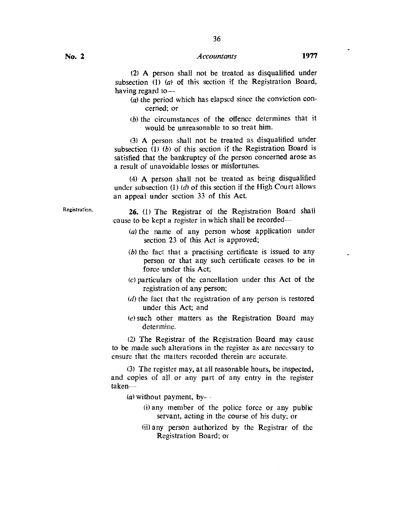36

(2) A person shall not be treated as disqualified under subsection (1) (*a*) of this section if the Registration Board, having regard to—

- (a) the period which has elapsed since the conviction concerned; or
- $(b)$  the circumstances of the offence determines that it would be unreasonable to so treat him.

(3) A person shall not be treated as disqualified under subsection (1) *(b)* of this section if the Registration Board is satisfied that the bankruptcy of the person concerned arose as a result of unavoidable losses or misfortunes.

(4) A person shall not be treated as being disqualified under subsection (I) *(d)* of this section if the High Court allows an appeal under section 33 of this Act.

Registration. **26.** (1) The Registrar of the Registration Board shall cause to be kept a register in which shall be recorded—

- (a) the name of any person whose application under section 23 of this Act is approved;
- (b) the fact that a practising certificate is issued to any person or that any such certificate ceases to be in force under this Act;
- $(c)$  particulars of the cancellation under this Act of the registration of any person;
- $(d)$  the fact that the registration of any person is restored under this Act; and
- (e)such other matters as the Registration Board may determine.

(2) The Registrar of the Registration Board may cause to be made such alterations in the register as are necessary to ensure that the matters recorded therein are accurate.

(3) The register may, at all reasonable hours, be inspected, and copies of all or any part of any entry in the register taken—

*(a)* without payment, by-

- (i)any member of the police force or any public servant, acting in the course of his duty; or
- (ii)any person authorized by the Registrar of the Registration Board; or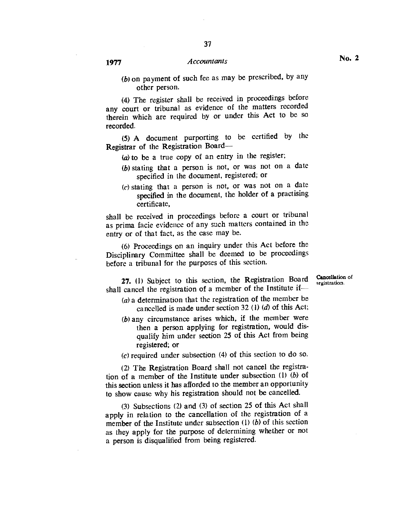*(b)* on payment of such fee as may be prescribed, by any other person.

(4) The register shall be received in proceedings before any court or tribunal as evidence of the matters recorded therein which are required by or under this Act to be so recorded.

(5) A document purporting to be certified by the Registrar of the Registration Board—

- $(a)$  to be a true copy of an entry in the register;
- (b) stating that a person is not, or was not on a date specified in the document, registered; or
- $(c)$  stating that a person is not, or was not on a date specified in the document, the holder of a practising certificate,

shall be received in proceedings before a court or tribunal as prima facie evidence of any such matters contained in the entry or of that fact, as the case may be.

(6) Proceedings on an inquiry under this Act before the Disciplinary Committee shall be deemed to be proceedings before a tribunal for the purposes of this section.

**27.** (1) Subject to this section, the Registration Board Cancellation of registration.

- shall cancel the registration of a member of the Institute if—  $(a)$  a determination that the registration of the member be cancelled is made under section 32 (1) *(d)* of this Act;
	- (b)any circumstance arises which, if the member were then a person applying for registration, would disqualify him under section 25 of this Act from being registered; or

 $(c)$  required under subsection  $(4)$  of this section to do so.

(2) The Registration Board shall not cancel the registration of a member of the Institute under subsection (1) *(b)* of this section unless it has afforded to the member an opportunity to show cause why his registration should not be cancelled.

(3) Subsections (2) and (3) of section 25 of this Act shall apply in relation to the cancellation of the registration of a member of the Institute under subsection (1) *(b)* of this section as they apply for the purpose of determining whether or not a person is disqualified from being registered.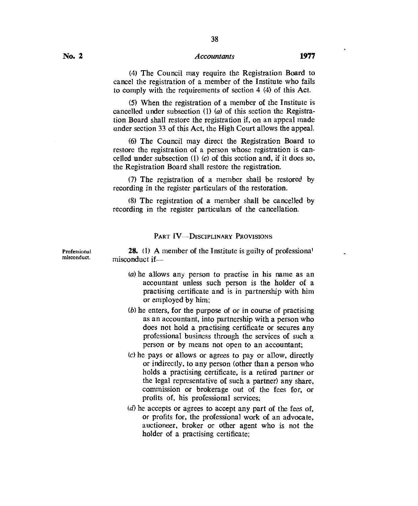38

(5) When the registration of a member of the Institute is cancelled under subsection (1) (a) of this section the Registration Board shall restore the registration if, on an appeal made under section 33 of this Act, the High Court allows the appeal.

(6) The Council may direct the Registration Board to restore the registration of a person whose registration is cancelled under subsection (1) *(c)* of this section and, if it does so, the Registration Board shall restore the registration.

(7) The registration of a member shall be restored by recording in the register particulars of the restoration.

(8) The registration of a member shall be cancelled by recording in the register particulars of the cancellation.

# PART IV--DISCIPLINARY PROVISIONS

**28.** (1) A member of the Institute is guilty of professional misconduct if—

- (a) he allows any person to practise in his name as an accountant unless such person is the holder of a practising certificate and is in partnership with him or employed by him;
- $(b)$  he enters, for the purpose of or in course of practising as an accountant, into partnership with a person who does not hold a practising certificate or secures any professional business through the services of such a person or by means not open to an accountant;
- (c)he pays or allows or agrees to pay or allow, directly or indirectly, to any person (other than a person who holds a practising certificate, is a retired partner or the legal representative of such a partner) any share, commission or brokerage out of the fees for, or profits of, his professional services;
- $(d)$  he accepts or agrees to accept any part of the fees of. or profits for, the professional work of an advocate, auctioneer, broker or other agent who is not the holder of a practising certificate;

Professional misconduct.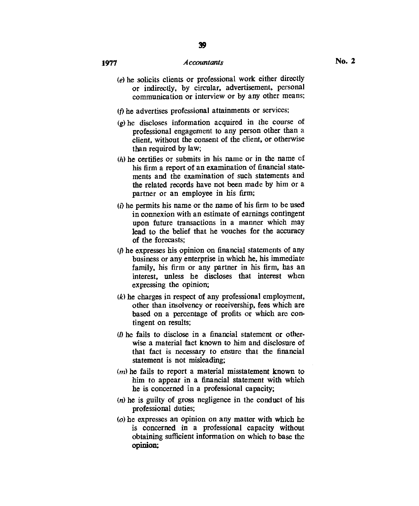- (e)he solicits clients or professional work either directly or indirectly, by circular, advertisement, personal communication or interview or by any other means;
- (f) he advertises professional attainments or services;
- $(g)$  he discloses information acquired in the course of professional engagement to any person other than a client, without the consent of the client, or otherwise than required by law;
- $(h)$  he certifies or submits in his name or in the name of his firm a report of an examination of financial statements and the examination of such statements and the related records have not been made by him or a partner or an employee in his firm;
- $(i)$  he permits his name or the name of his firm to be used in connexion with an estimate of earnings contingent upon future transactions in a manner which may lead to the belief that he vouches for the accuracy of the forecasts;
- $(i)$  he expresses his opinion on financial statements of any business or any enterprise in which he, his immediate family, his firm or any partner in his firm, has an interest, unless he discloses that interest when expressing the opinion;
- *(k)* he charges in respect of any professional employment, other than insolvency or receivership, fees which are based on a percentage of profits or which are contingent on results;
- *V)* he fails to disclose in a financial statement or otherwise a material fact known to him and disclosure of that fact is necessary to ensure that the financial statement is not misleading;
- *(n)* he fails to report a material misstatement known to him to appear in a financial statement with which he is concerned in a professional capacity;
- $(n)$  he is guilty of gross negligence in the conduct of his professional duties;
- $(a)$  he expresses an opinion on any matter with which he is concerned in a professional capacity without obtaining sufficient information on which to base the **opinion;**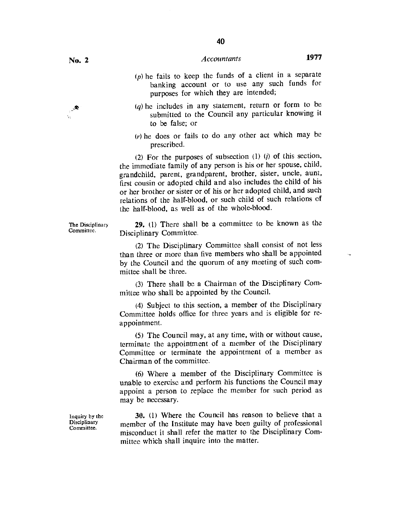- $(p)$  he fails to keep the funds of a client in a separate banking account or to use any such funds for purposes for which they are intended;
- $(a)$  he includes in any statement, return or form to be submitted to the Council any particular knowing it to be false; or
- $(r)$  he does or fails to do any other act which may be prescribed.

(2) For the purposes of subsection (1) *(j)* of this section, the immediate family of any person is his or her spouse, child, grandchild, parent, grandparent, brother, sister, uncle, aunt, first cousin or adopted child and also includes the child of his or her brother or sister or of his or her adopted child, and such relations of the half-blood, or such child of such relations of the half-blood, as well as of the whole-blood.

**29.** (1) There shall be a committee to be known as the Disciplinary Committee.

(2) The Disciplinary Committee shall consist of not less than three or more than five members who shall be appointed by the Council and the quorum of any meeting of such committee shall be three.

(3) There shall be a Chairman of the Disciplinary Committee who shall be appointed by the Council.

(4) Subject to this section, a member of the Disciplinary Committee holds office for three years and is eligible for reappointment.

(5) The Council may, at any time, with or without cause, terminate the appointment of a member of the Disciplinary Committee or terminate the appointment of a member as Chairman of the committee.

(6) Where a member of the Disciplinary Committee is unable to exercise and perform his functions the Council may appoint a person to replace the member for such period as may be necessary.

**30.** (1) Where the Council has reason to believe that a member of the Institute may have been guilty of professional misconduct it shall refer the matter to the Disciplinary Committee which shall inquire into the matter.

Inquiry by the **Disciplinary** Committee.

The Disciplinary Committee.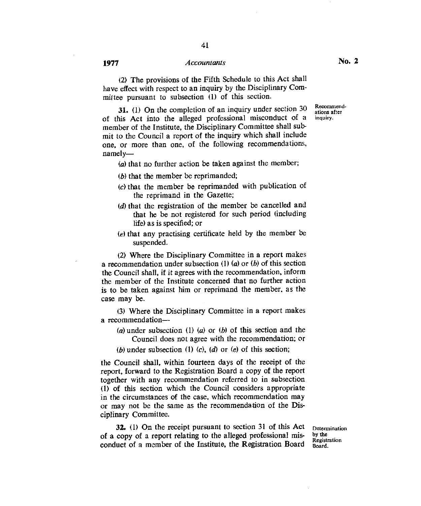(2) The provisions of the Fifth Schedule to this Act shall have effect with respect to an inquiry by the Disciplinary Committee pursuant to subsection (1) of this section.

**31.** (1) On the completion of an inquiry under section 30 of this Act into the alleged professional misconduct of a member of the Institute, the Disciplinary Committee shall submit to the Council a report of the inquiry which shall include one, or more than one, of the following recommendations, namely—

 $(a)$  that no further action be taken against the member;

- $(b)$  that the member be reprimanded;
- (c)that the member be reprimanded with publication of the reprimand in the Gazette;
- $(d)$  that the registration of the member be cancelled and that he be not registered for such period (including life) as is specified; or
- $(e)$  that any practising certificate held by the member be suspended.

(2) Where the Disciplinary Committee in a report makes a recommendation under subsection (1) (a) or *(b)* of this section the Council shall, if it agrees with the recommendation, inform the member of the Institute concerned that no further action is to be taken against him or reprimand the member, as the case may be.

(3) Where the Disciplinary Committee in a report makes a recommendation—

(a)under subsection (1) (a) or *(b)* of this section and the Council does not agree with the recommendation; or

(b)under subsection (1) *(c), (d)* or *(e)* of this section;

the Council shall, within fourteen days of the receipt of the report, forward to the Registration Board a copy of the report together with any recommendation referred to in subsection (1) of this section which the Council considers appropriate in the circumstances of the case, which recommendation may or may not be the same as the recommendation of the Disciplinary Committee.

**32.** (I) On the receipt pursuant to section 31 of this Act of a copy of a report relating to the alleged professional misconduct of a member of the Institute, the Registration Board

Determination by the Registration Board.

Recommendations after inquiry.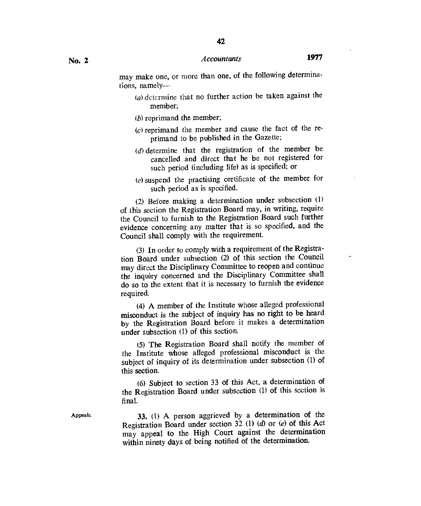may make one, or more than one, of the following determinations, namely--

- $(a)$  determine that no further action be taken against the member;
- $(b)$  reprimand the member;
- $(c)$  reprimand the member and cause the fact of the reprimand to be published in the Gazette;
- $(d)$  determine that the registration of the member be cancelled and direct that he be not registered for such period (including life) as is specified; or
- $(e)$  suspend the practising certificate of the member for such period as is specified.

(2) Before making a determination under subsection (1) of this section the Registration Board may, in writing, require the Council to furnish to the Registration Board such further evidence concerning any matter that is so specified, and the Council shall comply with the requirement.

(3)In order to comply with a requirement of the Registration Board under subsection (2) of this section the Council may direct the Disciplinary Committee to reopen and continue the inquiry concerned and the Disciplinary Committee shall do so to the extent that it is necessary to furnish the evidence required.

(4) A member of the Institute whose alleged professional misconduct is the subject of inquiry has no right to be heard by the Registration Board before it makes a determination under subsection (1) of this section.

(5)The Registration Board shall notify the member of the Institute whose alleged professional misconduct is the subject of inquiry of its determination under subsection (1) of this section.

(6) Subject to section 33 of this Act, a determination of the Registration Board under subsection (1) of this section is final.

Appeals.

33. (1) A person aggrieved by a determination of the Registration Board under section 32 (1) *(d)* or *(e)* of this Act may appeal to the High Court against the determination within ninety days of being notified of the determination.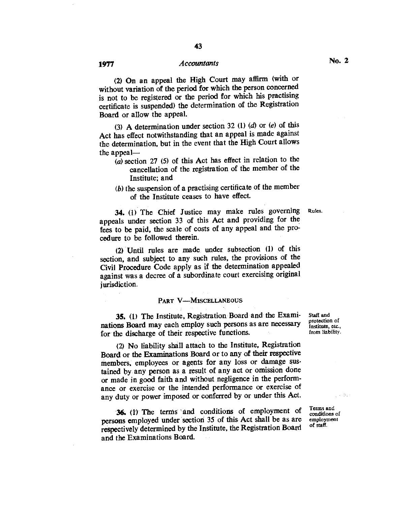(2) On an appeal the High Court may affirm (with or without variation of the period for which the person concerned is not to be registered or the period for which his practising certificate is suspended) the determination of the Registration Board or allow the appeal.

(3)A determination under section 32 (1) *(d)* or *(e)* of this Act has effect notwithstanding that an appeal is made against the determination, but in the event that the High Court allows the appeal—

- (a) section 27 (5) of this Act has effect in relation to the cancellation of the registration of the member of the Institute; and
- $(b)$  the suspension of a practising certificate of the member of the Institute ceases to have effect.

34. (1) The Chief Justice may make rules governing Rules. appeals under section 33 of this Act and providing for the fees to be paid, the scale of costs of any appeal and the procedure to be followed therein.

(2) Until rules are made under subsection **(1)** of this section, and subject to any such rules, the provisions of the Civil Procedure Code apply as if the determination appealed against was a decree of a subordinate court exercising original jurisdiction.

#### PART V—MISCELLANEOUS

35. (1) The Institute, Registration Board and the Examinations Board may each employ such persons as are necessary for the discharge of their respective functions.

(2) No liability shall attach to the Institute, Registration Board or the Examinations Board or to any of their respective members, employees or agents for any loss or damage sustained by any person as a result of any act or omission done or made in good faith and without negligence in the performance or exercise or the intended performance or exercise of any duty or power imposed or conferred by or under this Act.

**36.** (1) The terms and conditions of employment of persons employed under section 35 of this Act shall be as are respectively determined by the Institute, the Registration Board and the Examinations Board.

protection of Institute, etc., from liability.

Terms and conditions of employment of staff.

 $\zeta \sim 3\%$ 

Staff and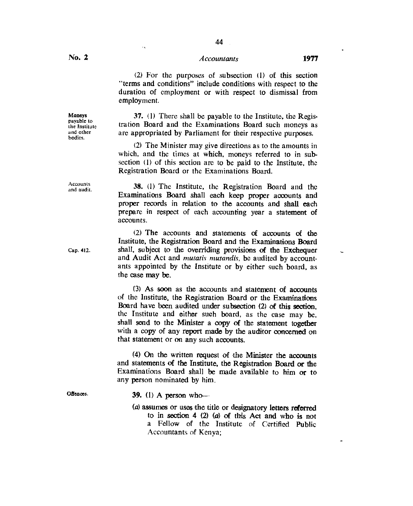44

(2) For the purposes of subsection (1) of this section "terms and conditions" include conditions with respect to the duration of employment or with respect to dismissal from employment.

37. (1) There shall be payable to the Institute, the Registration Board and the Examinations Board such moneys as are appropriated by Parliament for their respective purposes.

(2) The Minister may give directions as to the amounts in which, and the times at which, moneys referred to in subsection (1) of this section are to be paid to the Institute, the Registration Board or the Examinations Board.

38. (1) The Institute, the Registration Board and the Examinations Board shall each keep proper accounts and proper records in relation to the accounts and shall each prepare in respect of each accounting year a statement of accounts.

(2) The accounts and statements of accounts of the Institute, the Registration Board and the Examinations Board Cap. 412. shall, subject to the overriding provisions of the Exchequer and Audit Act and *mutatis mutandis,* be audited by accountants appointed by the Institute or by either such board, as the case may be.

> (3) As soon as the accounts and statement of accounts of the Institute, the Registration Board or the Examinations Board have been audited under subsection (2) of this section, the Institute and either such board, as the case may be, shall send to the Minister a copy of the statement together with a copy of any report made by the auditor concerned on that statement or on any such accounts.

> (4) On the written request of the Minister the accounts and statements of the Institute, the Registration Board or the Examinations Board shall be made available to him or to any person nominated by him.

- Offences. 39. (1) A person who-
	- *(a)* assumes or uses the title or designatory letters referred to in section 4  $(2)$   $(a)$  of this Act and who is not a Fellow of the Institute of Certified Public Accountants of Kenya;

**Accounts** and audit.

 $\ddot{\phantom{0}}$ 

Moneys payable to the Institute and other bodies.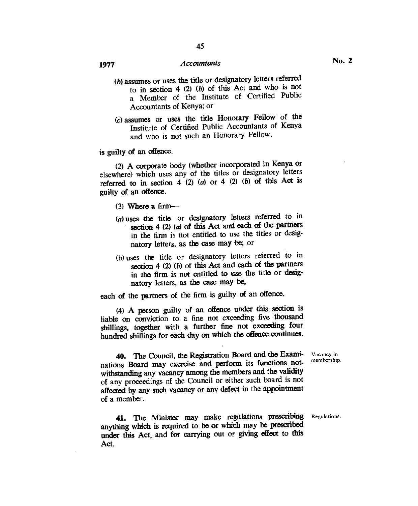- (b) assumes or uses the title or designatory letters referred to in section 4 (2) *(b)* of this Act and who is not a Member of the Institute of Certified Public Accountants of Kenya; or
- (c)assumes or uses the title Honorary Fellow of the Institute of Certified Public Accountants of Kenya and who is not such an Honorary Fellow,

is guilty of an offence.

(2) A corporate body (whether incorporated in Kenya or elsewhere) which uses any of the titles or designatory letters referred to in section 4 (2) (a) or 4 (2) *(b)* of this Act is guilty of an offence.

- (3) Where a firm—
- (a) uses the title or designatory letters referred to in section 4 (2) (a) of this Act and each of the partners in the firm is not entitled to use the titles or designatory letters, as the case may be; or
- (b) uses the title or designatory letters referred to in section 4 (2) *(b)* of this Act and each of the partners in the firm is not entitled to use the title or designatory letters, as the case may be,

each of the partners of the firm is guilty of an offence.

(4) A person guilty of an offence under this section is liable on conviction to a fine not exceeding five thousand shillings, together with a further fine not exceeding four hundred shillings for each day on which the offence continues.

> Vacancy in membership.

40. The Council, the Registration Board and the Examinations Board may exercise and perform its functions notwithstanding any vacancy among the members and the validity of any proceedings of the Council or either such board is not affected by any such vacancy or any defect in the appointment of a member.

41. The Minister may make regulations prescribing Regulations. anything which is required to be or which may be prescribed under this Act, and for carrying out or giving effect to this Act.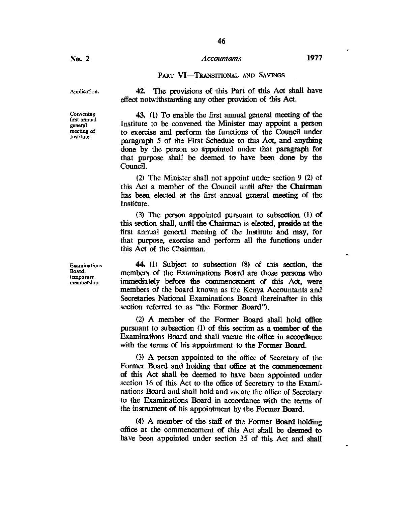## PART VI—TRANSITIONAL AND SAVINGS

effect notwithstanding any other provision of this Act.

42. The provisions of this Part of this Act shall have

Application.

Convening first annual general meeting of Institute.

43. (1) To enable the first annual general meeting of the Institute to be convened the Minister may appoint a person to exercise and perform the functions of the Council under paragraph 5 of the First Schedule to this Act, and anything done by the person so appointed under that paragraph for that purpose shall be deemed to have been done by the Council.

(2)The Minister shall not appoint under section 9 (2) of this Act a member of the Council until after the Chairman has been elected at the first annual general meeting of the Institute.

(3)The person appointed pursuant to subsection (I) of this section shall, until the Chairman is elected, preside at the first annual general meeting of the Institute and may, for that purpose, exercise and perform all the functions under this Act of the Chairman.

**44. (1)** Subject to subsection (8) of this section, the members of the Examinations Board are those persons who immediately before the commencement of this Act, were members of the board known as the Kenya Accountants and Secretaries National Examinations Board (hereinafter in this section referred to as "the Former Board").

(2) A member of the Former Board shall hold office pursuant to subsection (1) of this section as a member of the Examinations Board and shall vacate the office in accordance with the terms of his appointment to the Former Board.

(3)A person appointed to the office of Secretary of the Former Board and holding that office at the commencement of this Act shall be deemed to have been appointed under section 16 of this Act to the office of Secretary to the Examinations Board and shall hold and vacate the office of Secretary to the Examinations Board in accordance with the terms of the instrument of his appointment by the Former Board.

(4)A member of the staff of the Former Board holding office at the commencement of this Act shall be deemed to have been appointed under section 35 of this Act and shall

Examinations Board, temporary membership.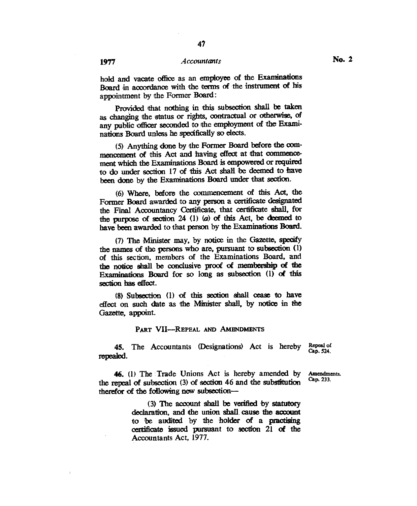hold and vacate office as an employee of the Examinations Board in accordance with the terms of the instrument of his appointment by the Former Board:

Provided that nothing in this subsection shall be taken as changing the status or rights, contractual or otherwise, of any public officer seconded to the employment of the Examinations Board unless he specifically so elects.

(5) Anything done by the Former Board before the commencement of this Act and having effect at that commencement which the Examinations Board is empowered or required to do under section 17 of this Act shall be deemed to have been done by the Examinations Board under that section.

(6) Where, before the commencement of this Act, the Former Board awarded to any person a certificate designated the Final Accountancy Certificate, that certificate shall, for the purpose of section 24 (1) (a) of this Act, be deemed to have been awarded to that person by the Examinations Board.

(7) The Minister may, by notice in the Gazette, specify the names of the persons who are, pursuant to subsection (1) of this section, members of the Examinations Board, and the notice shall be conclusive proof ci membership of the Examinations Board for so long as subsection (1) of this section has effect.

(8) Subsection (1) of this section shall cease to have effect on such date as the Minister shall, by notice in the Gazette, appoint.

#### **PART VII—REPEAL AND AMENDMENTS**

45. The Accountants (Designations) Act is hereby **Repeat of Cap. 524.**  repealed.

**Amendments.** 

46. (1) The Trade Unions Act is hereby amended by the repeal of subsection (3) of section 46 and the substitution therefor of the following new subsection— **Cap.** 233.

> (3) The account shall be verified by statutory declaration, and the union shall cause the account to be audited by the holder of a practising certificate issued pursuant to section 21 of the Accountants Act, 1977.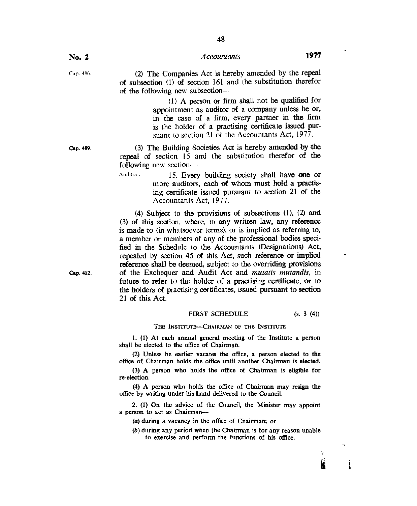$\mathcal{I}_{\mathcal{P}}$ 槍

Cap. 456. (2) The Companies Act is hereby amended by the repeal of subsection (1) of section 161 and the substitution therefor of the following new subsection—

> (1) A person or firm shall not be qualified for appointment as auditor of a company unless he or, in the case of a firm, every partner in the firm is the holder of a practising certificate issued pursuant to section 21 of the Accountants Act, 1977.

Cap. 489. (3) The Building Societies Act is hereby amended by the repeal of section 15 and the substitution therefor of the following new section-

> Auditor<sub>y</sub> 15. Every building society shall have one or more auditors, each of whom must hold a practising certificate issued pursuant to section 21 of the Accountants Act, 1977.

(4) Subject to the provisions of subsections (1), (2) and (3) of this section, where, in any written law, any reference is made to (in whatsoever terms), or is implied as referring to, a member or members of any of the professional bodies specified in the Schedule to the Accountants (Designations) Act, repealed by section 45 of this Act, such reference or implied reference shall be deemed, subject to the overriding provisions Cap. 412. of the Exchequer and Audit Act and *mutatis mutandis*, in future to refer to the holder of a practising certificate, or to the holders of practising certificates, issued pursuant to section 21 of this Act.

#### FIRST SCHEDULE (s. 3 (4))

#### THE INSTITUTE-CHAIRMAN OF THE INSTITUTE

1. (1) At each annual general meeting of the Institute a person shall be elected to the office of Chairman.

(2) Unless he earlier vacates the office, a person elected to the office of Chairman holds the office until another Chairman is elected.

(3) A person who holds the office of Chairman is eligible for re-election.

(4) A person who holds the office of Chairman may resign the office by writing under his hand delivered to the Council.

2. (1) On the advice of the Council, the Minister may appoint a person to act as Chairman—

(a) during a vacancy in the office of Chairman; or

 $(b)$  during any period when the Chairman is for any reason unable to exercise and perform the functions of his office.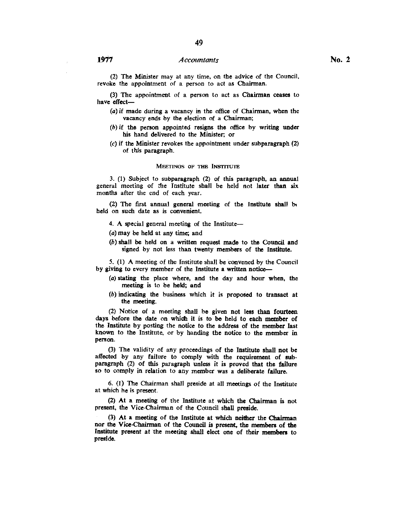(2) The Minister may at any time, on the advice of the Council. revoke the appointment of a person to act as Chairman.

(3) The appointment of a person to act as Chairman ceases to have effect—

- (a)if made during a vacancy in the office of Chairman, when the vacancy ends by the election of a Chairman;
- $(b)$  if the person appointed resigns the office by writing under his hand delivered to the Minister, or
- $(c)$  if the Minister revokes the appointment under subparagraph  $(2)$ of this paragraph.

#### MEETINGS OF THE INSTITUTE

3. (1) Subject to subparagraph (2) of this paragraph, an annual general meeting of the Institute shall be held not later than six months after the end of each year.

(2) The first annual general meeting of the Institute shall b, held on such date as is convenient.

4. A special general meeting of the Institute—

(a)may be held at any time; and

(b)shall be held on a written request made to the Council and signed by not less than twenty members of the Institute.

5. (1) A meeting of the Institute shall be convened by the Council by giving to *every* member of the Institute a written notice—

- (a)stating the place where, and the day and hour when, the meeting is to be held; and
- (b)indicating the business which it is proposed to transact at the meeting.

(2) Notice of a meeting shall be given not less than fourteen days before the date on which it is to be held to each member of the Institute by posting the notice to the address of the member last known to the Institute, or by handing the notice to the member in person.

(3) The validity of any proceedings of the Institute shall not be affected by any failure to comply with the requirement of subparagraph (2) of this paragraph unless it is proved that the failure so to comply in relation to any member was a deliberate failure.

6. (1) The Chairman shall preside at all meetings of the Institute at which he is present.

(2) At a meeting of the Institute at which the Chairman is not present, the Vice-Chairman of the Council shall preside.

(3) At a meeting of the Institute at which neither the Chairman nor the Vice-Chairman of the Council is present, the members of the Institute present at the meeting shall elect one of their members to preside.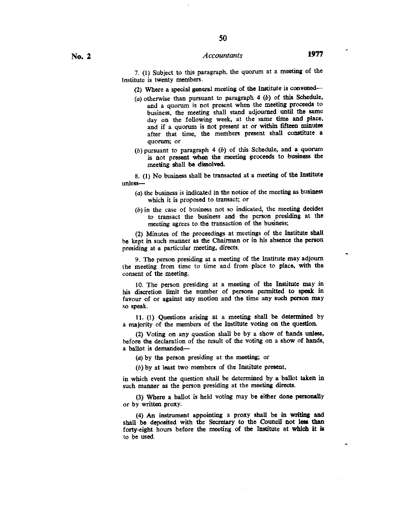**50** 

(2) Where a special general meeting of the Institute is convened—

- (a)otherwise than pursuant to paragraph 4 *(b)* of this Schedule, and a quorum is not present when the meeting proceeds to business, the meeting shall stand adjourned until the same day on the following week, at the same time and place, and if a quorum is not present at or within fifteen minutes after that time, the members present shall constitute a quorum; or
- (b)pursuant to paragraph 4 *(b)* of this Schedule, and a quorum is not present when the meeting proceeds to business the meeting shall be dissolved.

8. (1) No business shall be transacted at a meeting of the Institute unless—

- $(a)$  the business is indicated in the notice of the meeting as business which it is proposed to transact; or
- (b)in the case of business not so indicated, the meeting decides to transact the business and the person presiding at the meeting agrees to the transaction of the business;

(2) Minutes of the proceedings at meetings of the Institute shall be kept in such manner as the Chairman or in his absence the person presiding at a particular meeting, directs.

9. The person presiding at a meeting of the Institute may adjourn the meeting from time to time and from place to place, with the consent of the meeting.

10. The person presiding at a meeting of the Institute may in his discretion limit the number of persons permitted to speak in favour of or against any motion and the time any such person may so speak.

11. (1) Questions arising at a meeting shall be determined by a majority of the members of the Institute voting on the question.

(2) Voting on any question shall be by a show of hands unless, before the declaration of the result of the voting on a show of hands, *a* ballot is demanded—

(a)by the person presiding at the meeting; or

(b) by at least two members of the Institute present.

in which event the question shall *be* determined by a ballot taken in such manner as the person presiding at the meeting directs.

(3) Where a ballot is held voting may be either done **personally**  or by written proxy.

(4) An instrument appointing a proxy shall be in **writing and shall be deposited with the Secretary to the Council not less than forty-eight hours before the meeting of the Institute at which it is**  to be used.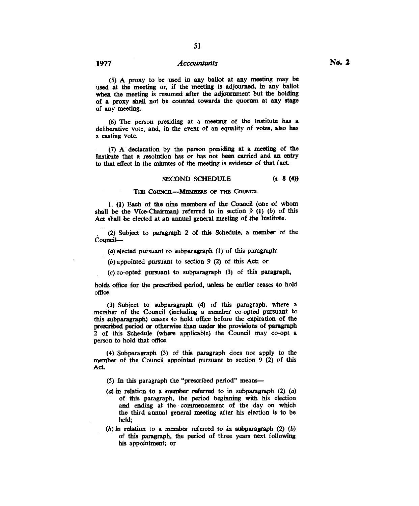(5) A proxy to be used in any ballot at any meeting may be used at the meeting or, if the meeting is adjourned, in any ballot when the meeting is resumed after the adjournment but the holding of a proxy shall not be counted towards the quorum at any stage of any meeting.

(6) The person presiding at a meeting of the Institute has a deliberative vote, and, in the event of an equality of votes, also has a casting vote.

(7) A declaration by the person presiding at a meeting of the Institute that a resolution has or has not been carried and an entry to that effect in the minutes of the meeting is evidence of that fact.

#### SECOND SCHEDULE *(s.* 8 **(4))**

#### **THE COUNCIL-MEMBERS OF THE COUNCIL**

**1.** (1) Each of the nine members of the Council (one of whom shall be the Vice-Chairman) referred to in section 9 (1) *(b)* of this Act shall be elected at an annual general meeting of the Institute.

(2) Subject to paragraph 2 of this Schedule, a member of the Council—

(a) elected pursuant to subparagraph (1) of this paragraph;

(b) appointed pursuant to section 9 (2) of this Act; or

(c) co-opted pursuant to subparagraph (3) of this paragraph,

holds office for the prescribed period, unless he earlier ceases to hold office.

(3) Subject to subparagraph (4) of this paragraph, where a member of the Council (including a member co-opted pursuant to this subparagraph) ceases to hold office before the expiration of the prescribed period or otherwise than under the provisions of paragraph 2 of this Schedule (where applicable) the Council may co-opt a person to hold that office.

(4) Subparagraph (3) of this paragraph does not apply to the member of the Council appointed pursuant to section 9 (2) of this Act.

- (5) In this paragraph the "prescribed period" means—
- (a) in relation to a member referred to in subparagraph (2) (a) of this paragraph, the period beginning with his election and ending at the commencement of the day on which the third annual general meeting after his election is to be held;
- (b) in relation to a member referred to in subparagraph  $(2)$   $(b)$ of this paragraph, the period of three years next following his appointment; or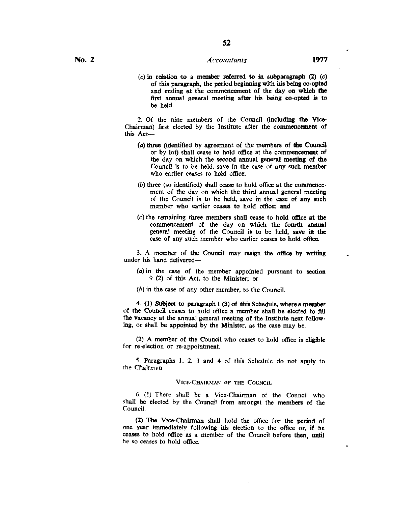$(c)$  in relation to a member referred to in subparagraph  $(2)$   $(c)$ **of** this paragraph, the period beginning with his being co-opted and ending at the commencement of the day on which the first annual general meeting after his being co-opted is to be held.

2. Of the nine members of the Council (including the Vice-Chairman) first elected by the Institute after the commencement of this Act—

- (a) three (identified by agreement of the members of the Council or by lot) shall cease to hold office at the commencement of the day on which the second annual general meeting of the Council is to be held, save in the case of any such member who earlier ceases to hold office;
- $(b)$  three (so identified) shall cease to hold office at the commencement of the day on which the third annual general meeting of the Council is to be held, save in the case of any such member who earlier ceases to hold office; **and**
- (c)the remaining three members shall cease to hold office at the commencement of the day on which the fourth annual general meeting of the Council is to be held, save in the case of any such member who earlier ceases to hold office.

3. A member of the Council may resign the office by writing under his hand delivered—

- (a)in the case of the member appointed pursuant to section 9 (2) of this Act, to the Minister; or
- $(b)$  in the case of any other member, to the Council.

4. **(1) Subject** to paragraph **1** (3) of this Schedule, where a member of the Council ceases to hold office a member shall be elected to fill the vacancy at the annual general meeting of the Institute next following, or shall be appointed by the Minister, as the case may be.

(2) A member of the Council who ceases to hold office is eligible for re-election or re-appointment.

5. Paragraphs 1, 2, 3 and 4 of this Schedule do not apply to the Chairman.

#### VICE-CHAIRMAN OF THE COUNCIL

6. (I) There shall be a Vice-Chairman of the Council who shall be elected by the Council from amongst the members of the Council.

(2) The Vice-Chairman shall hold the office for the period of one year immediately following his election to the office or, if he ceases to hold office as a member of the Council before then, until he so ceases to hold office.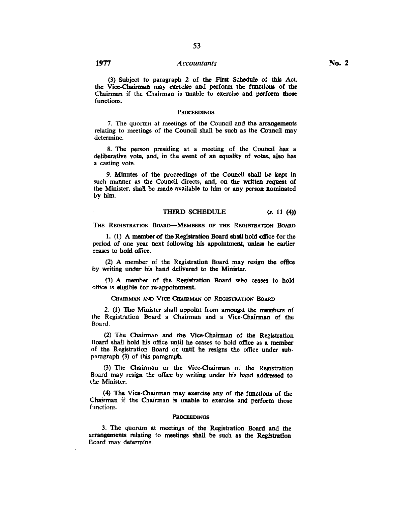(3) Subject to paragraph 2 of the First Schedule of this Act, the Vice-Chairman may exercise and perform the functions of the Chairman if the Chairman is unable to exercise and perform those functions.

### **PROCEEDINGS**

7. The quorum at meetings of the Council and the arrangements relating to meetings of the Council shall be such as the Council may determine.

8. The person presiding at a meeting of the Council has a deliberative vote, and, in the event of an equality of votes, also has a casting vote.

9. Minutes of the proceedings of the Council shall be kept in such manner as the Council directs, and, on the written request of the Minister, shall be made available to him or any person nominated by him.

#### THIRD SCHEDULE *(s.* 11 (4))

THE REGISTRATION BOARD-MEMBERS OP THE REGISTRATION BOARD

I. (1) A member of the Registration Board shall hold office for the period of one year next following his appointment, unless he earlier ceases to hold office.

(2) A member of the Registration Board may resign the office by writing under his hand delivered to the Minister.

(3) A member of the Registration Board who ceases to hold office is eligible for re-appointment.

CHAIRMAN AND VICE-CHAIRMAN OF REGISTRATION BOARD

2. (1) The Minister shall appoint from amongst the members of the Registration Board a Chairman and a Vice-Chairman of the Board.

(2) The Chairman and the Vice-Chairman of the Registration Board shall hold his office until he ceases to hold office as a member of the Registration Board or until he resigns the office under subparagraph (3) of this paragraph.

(3) The Chairman or the Vice-Chairman of the Registration Board may resign the office by writing under his hand addressed to the Minister.

(4) The Vice-Chairman may exercise any of the functions of the Chairman if the Chairman is unable to exercise and perform those functions.

#### **PROCEEDINGS**

3. The quorum at meetings of the Registration Board and the arrangements relating to meetings shall be such as the Registration Board may determine.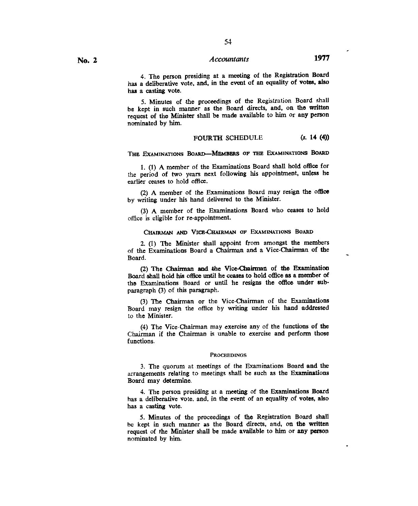54

5. Minutes of the proceedings of the Registration Board shall be kept in such manner as the Board directs, and, on the written request of the Minister shall be made available to him or any person nominated by him.

#### FOURTH SCHEDULE *(s.* **14 (4))**

#### **THE EXAMINATIONS BOARD-MEMBERS OP THE EXAMINATIONS BOARD**

**1. (1)** A member of the Examinations Board shall hold office for the period of two years next following his appointment, unless he earlier ceases to hold office.

(2) A member of the Examinations Board may resign the office by writing under his hand delivered to the Minister.

(3) A member of the Examinations Board who ceases to hold office is eligible for re-appointment.

#### **CHAIRMAN AND VICE-CHAIRMAN OF EXAMINATIONS BOARD**

2. (1) The Minister shall appoint from amongst the members of the Examinations Board a Chairman and a Vice-Chairman of the Board.

(2) The **Chairman and the Vice-Chairman of the Examination**  Board shall hold his office until he ceases to hold office as a member of **the Examinations Board or until he resigns the office under subparagraph (3) of this paragraph.** 

**(3) The Chairman or the** Vice-Chairman of the Examinations Board may resign the office by writing under his hand addressed to the Minister.

(4) The Vice-Chairman may exercise any of the functions of the Chairman if the Chairman is unable to exercise and perform those functions.

#### PROCEEDINGS

3. The quorum at meetings of the Examinations Board and the arrangements relating to meetings shall be such as the Examinations Board may determine.

4. The person presiding at a meeting of **the Examinations Board has a deliberative vote, and, in the event of an equality of votes, also has a casting vote.** 

**5. Minutes of the proceedings of the Registration Board** shall be kept in such manner as the Board directs, and, **on the written request of the Minister shall be made available to him or any person**  nominated by him.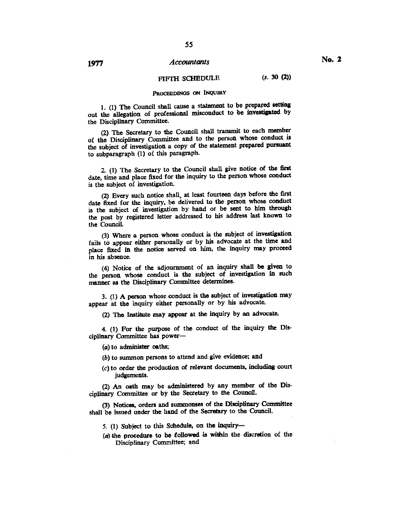# FIFTH SCHEDULE (s. 30(2))

## **PROCEEDINGS ON INQUIRY**

**1. (1)** The Council shall cause a statement to be prepared setting out the allegation of professional misconduct to *be* investigated by the Disciplinary Committee.

(2) The Secretary to the Council shall transmit to each member of the Disciplinary Committee and to the person whose conduct is the subject of investigation a copy of the statement prepared pursuant to subparagraph (1) of this paragraph.

2. (1) The Secretary to the Council shall give notice of the first date, time and place fixed for the inquiry to the person whose conduct is the subject of investigation.

(2) Every such notice shall, at least fourteen days before the first date fixed for the inquiry, be delivered to the person whose conduct is the subject of investigation by hand or be sent to him through the post by registered letter addressed to his address last known to the Council.

(3) Where a person whose conduct is the subject of investigation fails to appear either personally or by his advocate at the time and place fixed in the notice served on him, the inquiry may proceed in his absence.

(4) Notice of the adjournment of an inquiry shall be given to the person whose conduct is the subject of investigation in such manner as the Disciplinary Committee determines.

3. (1) A person whose conduct is the subject of investigation may appear at the inquiry either personally or by his advocate.

(2) The Institute may appear at the inquiry by an advocate.

4. (1) For the purpose of the conduct of the inquiry the Disciplinary Committee has power—

(a) to administer oaths;

(6) to summon persons to attend and give evidence; and

*(c)* to order the production of relevant documents, including court judgements.

(2) An oath may be administered by any member of the Disciplinary Committee or by the Secretary to the Council.

(3) Notices, orders and summonses of the Disciplinary Committee shall be issued under the hand of the Secretary to the Council.

5. (1) Subject to this Schedule, on the inquiry—

(a) the procedure to be followed is within the discretion of the Disciplinary Committee; and